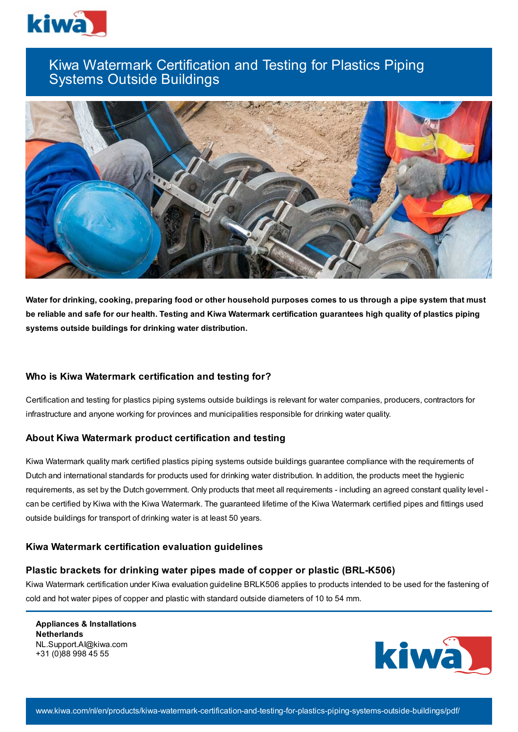

# Kiwa Watermark Certification and Testing for Plastics Piping Systems Outside Buildings



Water for drinking, cooking, preparing food or other household purposes comes to us through a pipe system that must be reliable and safe for our health. Testing and Kiwa Watermark certification guarantees high quality of plastics piping **systems outside buildings for drinking water distribution.**

### **Who is Kiwa Watermark certification and testing for?**

Certification and testing for plastics piping systems outside buildings is relevant for water companies, producers, contractors for infrastructure and anyone working for provinces and municipalities responsible for drinking water quality.

# **About Kiwa Watermark product certification and testing**

Kiwa Watermark quality mark certified plastics piping systems outside buildings guarantee compliance with the requirements of Dutch and international standards for products used for drinking water distribution. In addition, the products meet the hygienic requirements, as set by the Dutch government. Only products that meet all requirements - including an agreed constant quality level can be certified by Kiwa with the Kiwa Watermark. The guaranteed lifetime of the Kiwa Watermark certified pipes and fittings used outside buildings for transport of drinking water is at least 50 years.

### **Kiwa Watermark certification evaluation guidelines**

### **Plastic brackets for drinking water pipes made of copper or plastic (BRL-K506)**

Kiwa Watermark certification under Kiwa evaluation guideline BRLK506 applies to products intended to be used for the fastening of cold and hot water pipes of copper and plastic with standard outside diameters of 10 to 54 mm.

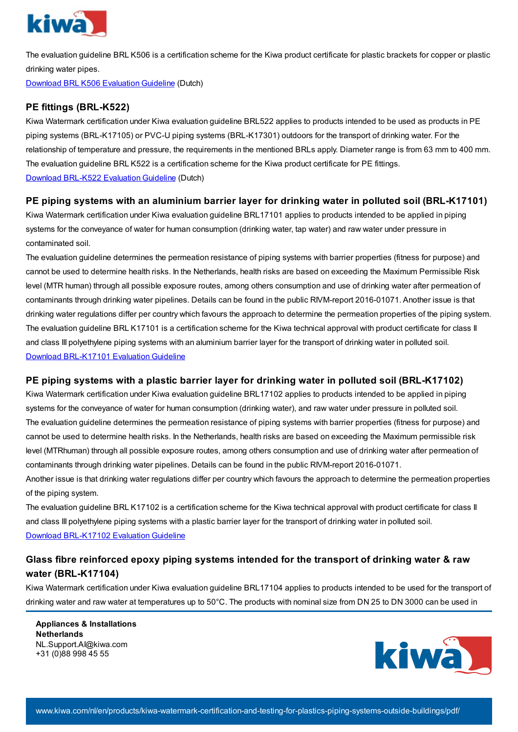

The evaluation guideline BRL K506 is a certification scheme for the Kiwa product certificate for plastic brackets for copper or plastic drinking water pipes.

Download BRL K506 [Evaluation](https://www.kiwa.com//48f484/globalassets/dam/kiwa-netherlands/downloads/brl-k506-01-02-2012_incl-wijzigingsblad-07-03-2019.pdf) Guideline (Dutch)

# **PE fittings (BRL-K522)**

Kiwa Watermark certification under Kiwa evaluation guideline BRL522 applies to products intended to be used as products in PE piping systems (BRL-K17105) or PVC-U piping systems (BRL-K17301) outdoors for the transport of drinking water. For the relationship of temperature and pressure, the requirements in the mentioned BRLs apply. Diameter range is from 63 mm to 400 mm. The evaluation guideline BRL K522 is a certification scheme for the Kiwa product certificate for PE fittings. Download [BRL-K522](https://www.kiwa.com//48fffa/globalassets/dam/kiwa-netherlands/downloads/brl-k522.pdf) Evaluation Guideline (Dutch)

# **PE piping systems with an aluminium barrier layer for drinking water in polluted soil (BRL-K17101)**

Kiwa Watermark certification under Kiwa evaluation guideline BRL17101 applies to products intended to be applied in piping systems for the conveyance of water for human consumption (drinking water, tap water) and raw water under pressure in contaminated soil.

The evaluation guideline determines the permeation resistance of piping systems with barrier properties (fitness for purpose) and cannot be used to determine health risks. In the Netherlands, health risks are based on exceeding the Maximum Permissible Risk level (MTR human) through all possible exposure routes, among others consumption and use of drinking water after permeation of contaminants through drinking water pipelines. Details can be found in the public RIVM-report 2016-01071. Another issue is that drinking water regulations differ per country which favours the approach to determine the permeation properties of the piping system. The evaluation guideline BRL K17101 is a certification scheme for the Kiwa technical approval with product certificate for class II and class III polyethylene piping systems with an aluminium barrier layer for the transport of drinking water in polluted soil. Download [BRL-K17101](https://www.kiwa.com//4a84d5/globalassets/dam/kiwa-netherlands/downloads/2021-09-30-brl-k17101-and-brl-k17102.pdf) Evaluation Guideline

# **PE piping systems with a plastic barrier layer for drinking water in polluted soil (BRL-K17102)**

Kiwa Watermark certification under Kiwa evaluation guideline BRL17102 applies to products intended to be applied in piping systems for the conveyance of water for human consumption (drinking water), and raw water under pressure in polluted soil. The evaluation guideline determines the permeation resistance of piping systems with barrier properties (fitness for purpose) and cannot be used to determine health risks. In the Netherlands, health risks are based on exceeding the Maximum permissible risk level (MTRhuman) through all possible exposure routes, among others consumption and use of drinking water after permeation of contaminants through drinking water pipelines. Details can be found in the public RIVM-report 2016-01071.

Another issue is that drinking water regulations differ per country which favours the approach to determine the permeation properties of the piping system.

The evaluation guideline BRL K17102 is a certification scheme for the Kiwa technical approval with product certificate for class II and class III polyethylene piping systems with a plastic barrier layer for the transport of drinking water in polluted soil. Download [BRL-K17102](https://www.kiwa.com//4a84d5/globalassets/dam/kiwa-netherlands/downloads/2021-09-30-brl-k17101-and-brl-k17102.pdf) Evaluation Guideline

# **Glass fibre reinforced epoxy piping systems intended for the transport of drinking water & raw water (BRL-K17104)**

Kiwa Watermark certification under Kiwa evaluation guideline BRL17104 applies to products intended to be used for the transport of drinking water and raw water at temperatures up to 50°C. The products with nominal size from DN 25 to DN 3000 can be used in

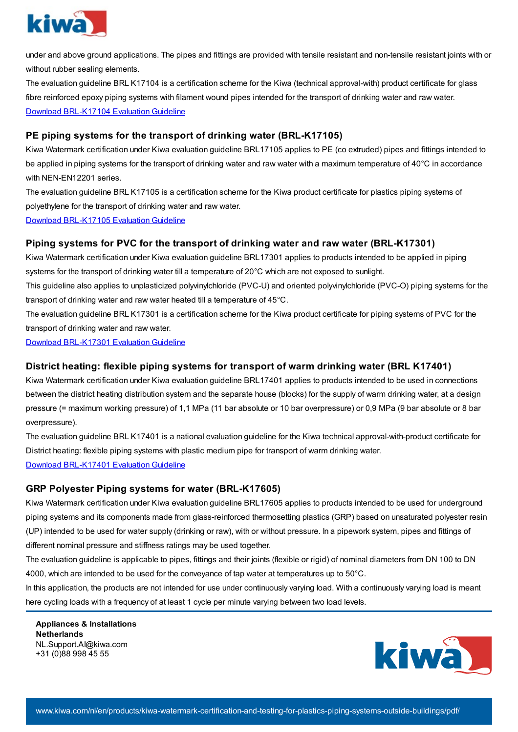

under and above ground applications. The pipes and fittings are provided with tensile resistant and non-tensile resistant joints with or without rubber sealing elements.

The evaluation guideline BRL K17104 is a certification scheme for the Kiwa (technical approval-with) product certificate for glass fibre reinforced epoxy piping systems with filament wound pipes intended for the transport of drinking water and raw water. Download [BRL-K17104](https://www.kiwa.com//4ac46e/globalassets/dam/kiwa-netherlands/downloads/brl-k17104.pdf) Evaluation Guideline

# **PE piping systems for the transport of drinking water (BRL-K17105)**

Kiwa Watermark certification under Kiwa evaluation guideline BRL17105 applies to PE (co extruded) pipes and fittings intended to be applied in piping systems for the transport of drinking water and raw water with a maximum temperature of 40°C in accordance with NEN-EN12201 series.

The evaluation guideline BRL K17105 is a certification scheme for the Kiwa product certificate for plastics piping systems of polyethylene for the transport of drinking water and raw water.

Download [BRL-K17105](https://www.kiwa.com//48f48c/globalassets/dam/kiwa-netherlands/downloads/brl-k17105-2017-10-03-uk.pdf) Evaluation Guideline

### **Piping systems for PVC for the transport of drinking water and raw water (BRL-K17301)**

Kiwa Watermark certification under Kiwa evaluation guideline BRL17301 applies to products intended to be applied in piping systems for the transport of drinking water till a temperature of 20°C which are not exposed to sunlight.

This guideline also applies to unplasticized polyvinylchloride (PVC-U) and oriented polyvinylchloride (PVC-O) piping systems for the transport of drinking water and raw water heated till a temperature of 45°C.

The evaluation guideline BRL K17301 is a certification scheme for the Kiwa product certificate for piping systems of PVC for the transport of drinking water and raw water.

Download [BRL-K17301](https://www.kiwa.com//48fff6/globalassets/dam/kiwa-netherlands/downloads/brl-k17301-2017-09-15-uk.pdf) Evaluation Guideline

### **District heating: flexible piping systems for transport of warm drinking water (BRL K17401)**

Kiwa Watermark certification under Kiwa evaluation guideline BRL17401 applies to products intended to be used in connections between the district heating distribution system and the separate house (blocks) for the supply of warm drinking water, at a design pressure (= maximum working pressure) of 1,1 MPa (11 bar absolute or 10 bar overpressure) or 0,9 MPa (9 bar absolute or 8 bar overpressure).

The evaluation guideline BRL K17401 is a national evaluation guideline for the Kiwa technical approval-with-product certificate for District heating: flexible piping systems with plastic medium pipe for transport of warm drinking water.

Download [BRL-K17401](https://www.kiwa.com//4ad0ec/globalassets/dam/kiwa-netherlands/downloads/brl-k17401.eng-final.pdf) Evaluation Guideline

# **GRP Polyester Piping systems for water (BRL-K17605)**

Kiwa Watermark certification under Kiwa evaluation guideline BRL17605 applies to products intended to be used for underground piping systems and its components made from glass-reinforced thermosetting plastics (GRP) based on unsaturated polyester resin (UP) intended to be used for water supply (drinking or raw), with or without pressure. In a pipework system, pipes and fittings of different nominal pressure and stiffness ratings may be used together.

The evaluation guideline is applicable to pipes, fittings and their joints (flexible or rigid) of nominal diameters from DN 100 to DN 4000, which are intended to be used for the conveyance of tap water at temperatures up to 50°C.

In this application, the products are not intended for use under continuously varying load. With a continuously varying load is meant here cycling loads with a frequency of at least 1 cycle per minute varying between two load levels.